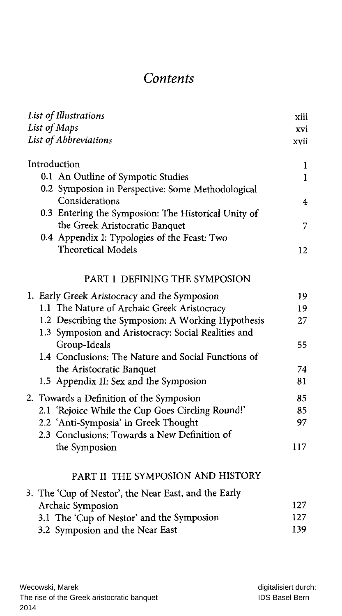## Contents

| List of Illustrations                                |              |  |
|------------------------------------------------------|--------------|--|
| List of Maps                                         |              |  |
| List of Abbreviations                                | xvii         |  |
| Introduction                                         | 1            |  |
| 0.1 An Outline of Sympotic Studies                   | $\mathbf{1}$ |  |
| 0.2 Symposion in Perspective: Some Methodological    |              |  |
| Considerations                                       | 4            |  |
| 0.3 Entering the Symposion: The Historical Unity of  |              |  |
| the Greek Aristocratic Banquet                       | 7            |  |
| 0.4 Appendix I: Typologies of the Feast: Two         |              |  |
| <b>Theoretical Models</b>                            | 12           |  |
| PART I DEFINING THE SYMPOSION                        |              |  |
| 1. Early Greek Aristocracy and the Symposion         | 19           |  |
| 1.1 The Nature of Archaic Greek Aristocracy          | 19           |  |
| 1.2 Describing the Symposion: A Working Hypothesis   | 27           |  |
| 1.3 Symposion and Aristocracy: Social Realities and  |              |  |
| Group-Ideals                                         | 55           |  |
| 1.4 Conclusions: The Nature and Social Functions of  |              |  |
| the Aristocratic Banquet                             | 74           |  |
| 1.5 Appendix II: Sex and the Symposion               | 81           |  |
| 2. Towards a Definition of the Symposion             | 85           |  |
| 2.1 'Rejoice While the Cup Goes Circling Round!'     | 85           |  |
| 2.2 'Anti-Symposia' in Greek Thought                 | 97           |  |
| 2.3 Conclusions: Towards a New Definition of         |              |  |
| the Symposion                                        | 117          |  |
| PART II THE SYMPOSION AND HISTORY                    |              |  |
| 3. The 'Cup of Nestor', the Near East, and the Early |              |  |
| Archaic Symposion                                    | 127          |  |
| 3.1 The 'Cup of Nestor' and the Symposion            | 127          |  |
| 3.2 Symposion and the Near East                      | 139          |  |
|                                                      |              |  |